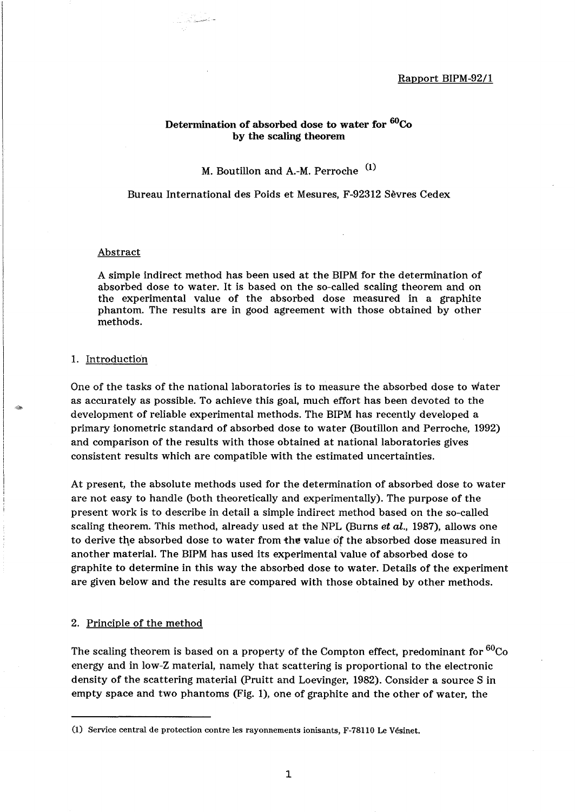# Determination of absorbed dose to water for <sup>60</sup>Co by the scaling theorem

M. Boutillon and A.-M. Perroche<sup>(1)</sup>

Bureau International des Poids et Mesures, F-92312 Sevres Cedex

#### Abstract

A simple indirect method has been used at the BIPM for the determination of absorbed dose to water. It is based on the so-called scaling theorem and on the experimental value of the absorbed dose measured in a graphite phantom. The results are in good agreement with those obtained by other methods.

#### 1. Introduction

One of the tasks of the national laboratories is to measure the absorbed dose to water as accurately as possible. To achieve this goal, much effort has been devoted to the development of reliable experimental methods. The BIPM has recently developed a primary ionometric standard of absorbed dose to water (Boutillon and Perroche, 1992) and comparison of the results with those obtained at national laboratories gives consistent results which are compatible with the estimated uncertainties.

At present, the absolute methods used for the determination of absorbed dose to water are not easy to handle (both theoretically and experimentally). The purpose of the present work is to describe in detail a simple indirect method based on the so-called scaling theorem. This method, already used at the NPL (Burns *et al.,* 1987), allows one to derive the absorbed dose to water from the value of the absorbed dose measured in another material. The BIPM has used its experimental value of absorbed dose to graphite to determine in this way the absorbed dose to water. Details of the experiment are given below and the results are compared with those obtained by other methods.

# 2. Principle of the method

The scaling theorem is based on a property of the Compton effect, predominant for  ${}^{60}Co$ energy and in low-Z material, namely that scattering is proportional to the electronic density of the scattering material (Pruitt and Loevinger, 1982). Consider a source S in empty space and two phantoms (Fig. 1), one of graphite and the other of water, the

<sup>(</sup>l) Service central de protection contre les rayonnements ionisants, F-78110 Le Vesinet.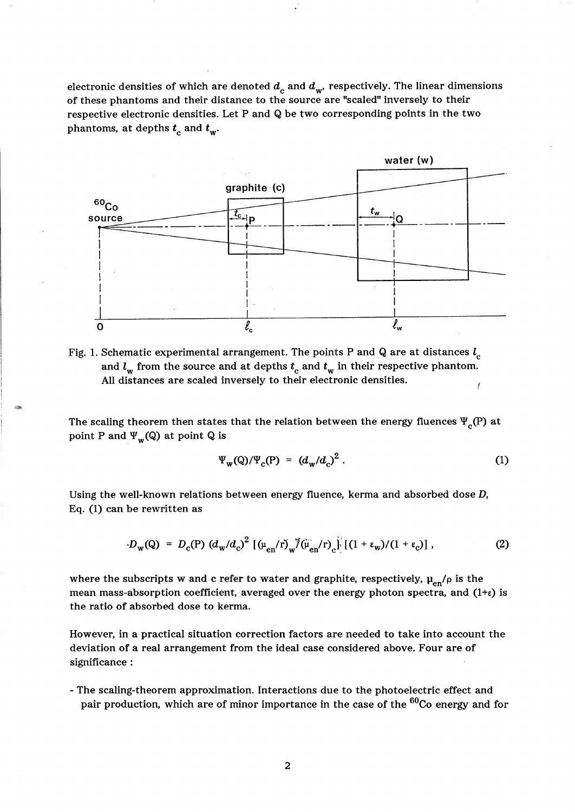electronic densities of which are denoted  $d_c$  and  $d_w$ <sup>*,*</sup> respectively. The linear dimensions of these phantoms and their distance to the source are "scaled" inversely to their respective electronic densities. Let P and Q be two corresponding points in the two phantoms, at depths  $t_c$  and  $t_w$ .



Fig. 1. Schematic experimental arrangement. The points P and Q are at distances  $l_c$ and  $l_w$  from the source and at depths  $t_c$  and  $t_w$  in their respective phantom. All distances are scaled inversely to their electronic densities.

The scaling theorem then states that the relation between the energy fluences  $\Psi_c(P)$  at point P and  $\Psi_{\mathbf{w}}(\mathbf{Q})$  at point Q is

$$
\Psi_{\mathbf{w}}(\mathbf{Q})/\Psi_{\mathbf{c}}(\mathbf{P}) = (d_{\mathbf{w}}/d_{\mathbf{c}})^2. \tag{1}
$$

Using the well-known relations between energy fluence, kerma and absorbed dose D, Eq. (1) can be rewritten as

$$
D_{\mathbf{w}}(\mathbf{Q}) = D_{\mathbf{c}}(\mathbf{P}) \left( d_{\mathbf{w}} / d_{\mathbf{c}} \right)^2 \left[ \left( \mu_{\mathbf{en}} / \mathbf{r} \right)_{\mathbf{w}} / \left( \mu_{\mathbf{en}} / \mathbf{r} \right)_{\mathbf{c}} \right] \left[ \left( 1 + \varepsilon_{\mathbf{w}} \right) / \left( 1 + \varepsilon_{\mathbf{c}} \right) \right], \tag{2}
$$

where the subscripts w and c refer to water and graphite, respectively,  $\mu_{en}/\rho$  is the mean mass-absorption coefficient, averaged over the energy photon spectra, and  $(1+\epsilon)$  is the ratio of absorbed dose to kerma.

However, in a practical situation correction factors are needed to take into account the deviation of a real arrangement from the ideal case considered above. Four are of significance:

- The scaling-theorem approximation. Interactions due to the photoelectric effect and pair production, which are of minor importance in the case of the <sup>60</sup>Co energy and for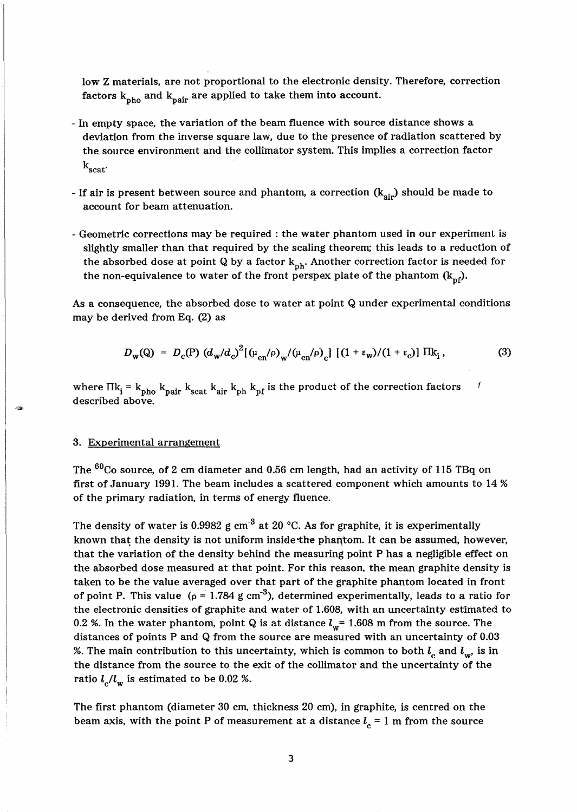low Z materials, are not proportional to the electronic density. Therefore, correction factors  $k_{pho}$  and  $k_{pair}$  are applied to take them into account.

- In empty space, the variation of the beam fluence with source distance shows a deviation from the inverse square law, due to the presence of radiation scattered by the source environment and the collimator system. This implies a correction factor  $k_{scat}$
- If air is present between source and phantom, a correction  $(k_{air})$  should be made to account for beam attenuation.
- Geometric corrections may be required: the water phantom used in our experiment is slightly smaller than that required by the scaling theorem; this leads to a reduction of the absorbed dose at point Q by a factor  $k_{ph}$ . Another correction factor is needed for the non-equivalence to water of the front perspex plate of the phantom  $(k_{\text{ref}})$ .

As a consequence, the absorbed dose to water at point Q under experimental conditions may be derived from Eq. (2) as

$$
D_{\mathbf{w}}(\mathbf{Q}) = D_{\mathbf{c}}(\mathbf{P}) \left( d_{\mathbf{w}} / d_{\mathbf{c}} \right)^2 \left[ \left( \mu_{\mathbf{e}n} / \rho \right)_{\mathbf{w}} / \left( \mu_{\mathbf{e}n} / \rho \right)_{\mathbf{c}} \right] \left[ \left( 1 + \varepsilon_{\mathbf{w}} \right) / \left( 1 + \varepsilon_{\mathbf{c}} \right) \right] \Pi \mathbf{k}_i, \tag{3}
$$

I

where  $\Pi k_i = k_{pho} k_{pair} k_{scat} k_{air} k_{ph} k_{pf}$  is the product of the correction factors described above.

### 3. Experimental arrangement

The <sup>60</sup>Co source, of 2 cm diameter and 0.56 cm length, had an activity of 115 TBq on first of January 1991. The beam includes a scattered component which amounts to 14 % of the primary radiation, in terms of energy fluence.

The density of water is 0.9982 g  $cm^{-3}$  at 20 °C. As for graphite, it is experimentally known that the density is not uniform inside the phantom. It can be assumed, however, that the variation of the density behind the measuring point P has a negligible effect on the absorbed dose measured at that point. For this reason, the mean graphite density is taken to be the value averaged over that part of the graphite phantom located in front of point P. This value ( $\rho = 1.784$  g cm<sup>-3</sup>), determined experimentally, leads to a ratio for the electronic densities of graphite and water of 1.608, with an uncertainty estimated to 0.2 %. In the water phantom, point Q is at distance  $l_w$  = 1.608 m from the source. The distances of points P and Q from the source are measured with an uncertainty of 0.03 %. The main contribution to this uncertainty, which is common to both  $l_c$  and  $l_w$ , is in the distance from the source to the exit of the collimator and the uncertainty of the ratio  $l_c/l_w$  is estimated to be 0.02 %.

The first phantom (diameter 30 cm, thickness 20 cm), in graphite, is centred on the beam axis, with the point P of measurement at a distance  $l_c = 1$  m from the source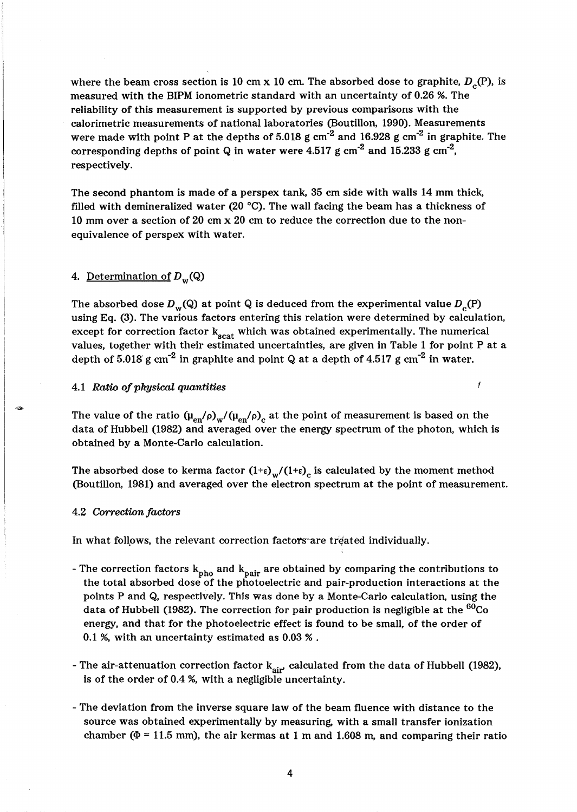where the beam cross section is 10 cm x 10 cm. The absorbed dose to graphite,  $D_{\alpha}(P)$ , is measured with the BIPM ionometric standard with an uncertainty of 0.26 %. The reliability of this measurement is supported by previous comparisons with the calorimetric measurements of national laboratories (Boutillon, 1990). Measurements were made with point P at the depths of 5.018 g  $cm^{-2}$  and 16.928 g  $cm^{-2}$  in graphite. The corresponding depths of point Q in water were 4.517 g cm<sup>-2</sup> and 15.233 g cm<sup>-2</sup>, respectively.

The second phantom is made of a perspex tank, 35 cm side with walls 14 mm thick, filled with demineralized water (20  $^{\circ}$ C). The wall facing the beam has a thickness of 10 mm over a section of 20 cm x 20 cm to reduce the correction due to the nonequivalence of perspex with water.

# 4. Determination of  $D_w(Q)$

The absorbed dose  $D_w(Q)$  at point Q is deduced from the experimental value  $D_c(P)$ using Eq. (3). The various factors entering this relation were determined by calculation, except for correction factor  $k_{scat}$  which was obtained experimentally. The numerical values, together with their estimated uncertainties, are given in Table 1 for point P at a depth of 5.018 g cm<sup>-2</sup> in graphite and point Q at a depth of 4.517 g cm<sup>-2</sup> in water.

İ

## *4.1 Ratio of physical quantities*

The value of the ratio  $(\mu_{en}/\rho)_{w}/(\mu_{en}/\rho)_{c}$  at the point of measurement is based on the data of Hubbell (1982) and averaged over the energy spectrum of the photon, which is obtained by a Monte-Carlo calculation.

The absorbed dose to kerma factor  $(1+\varepsilon)_{w}/(1+\varepsilon)_{c}$  is calculated by the moment method (Boutillon, 1981) and averaged over the electron spectrum at the point of measurement.

### *4.2 Correction factors*

In what follows, the relevant correction factors are treated individually.

- The correction factors  $k_{pho}$  and  $k_{pair}$  are obtained by comparing the contributions to the total absorbed dose of the photoelectric and pair-production interactions at the points P and Q, respectively. This was done by a Monte-Carlo calculation, using the data of Hubbell (1982). The correction for pair production is negligible at the  ${}^{60}$ Co energy, and that for the photoelectric effect is found to be small, of the order of 0.1 %, with an uncertainty estimated as 0.03 % .
- The air-attenuation correction factor  $k_{air'}$  calculated from the data of Hubbell (1982), is of the order of 0.4 %, with a negligible uncertainty.
- The deviation from the inverse square law of the beam fluence with distance to the source was obtained experimentally by measuring, with a small transfer ionization chamber ( $\Phi$  = 11.5 mm), the air kermas at 1 m and 1.608 m, and comparing their ratio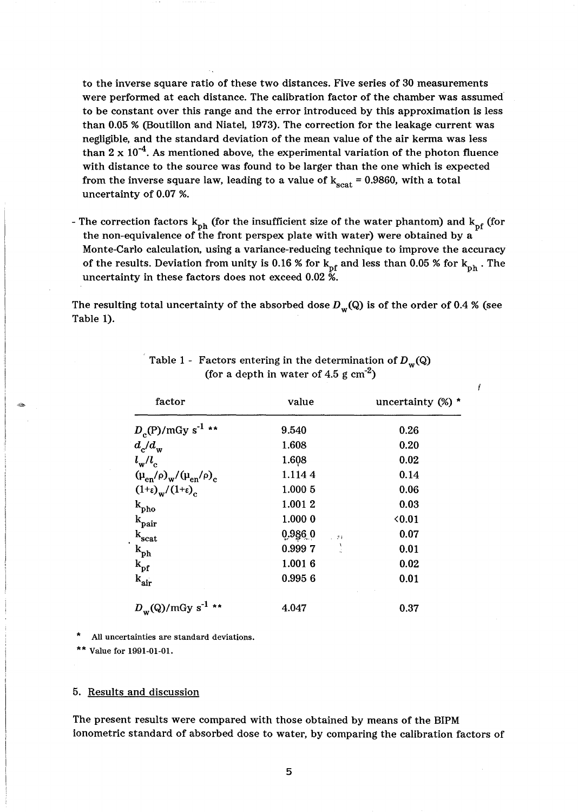to the inverse square ratio of these two distances. Five series of 30 measurements were performed at each distance. The calibration factor of the chamber was assumed to be constant over this range and the error introduced by this approximation is less than 0.05 % (Boutillon and Niatel, 1973). The correction for the leakage current was negligible, and the standard deviation of the mean value of the air kerma was less than  $2 \times 10^{-4}$ . As mentioned above, the experimental variation of the photon fluence with distance to the source was found to be larger than the one which is expected from the inverse square law, leading to a value of  $k_{scat} = 0.9860$ , with a total uncertainty of 0.07 %.

- The correction factors  $k_{ph}$  (for the insufficient size of the water phantom) and  $k_{pf}$  (for the non-equivalence of the front perspex plate with water) were obtained by a Monte-Carlo calculation, using a variance-reducing technique to improve the accuracy of the results. Deviation from unity is 0.16 % for  $k_{pf}$  and less than 0.05 % for  $k_{ph}$  . The uncertainty in these factors does not exceed 0.02 %.

The resulting total uncertainty of the absorbed dose  $D_w(Q)$  is of the order of 0.4 % (see Table 1).

| factor                                            | value                   | uncertainty $(\%)^*$ |
|---------------------------------------------------|-------------------------|----------------------|
| $D_{\rm c}(P)/mGy \; s^{-1}$ **                   | 9.540                   | 0.26                 |
| $d_c/d_w$                                         | 1.608                   | 0.20                 |
| $l_{\rm w}/l_{\rm c}$                             | 1.608                   | 0.02                 |
| $(\mu_{en}/\rho)_{\rm w}/(\mu_{en}/\rho)_{\rm c}$ | 1.1144                  | 0.14                 |
| $(1+\varepsilon)_{\rm w}/(1+\varepsilon)_{\rm c}$ | 1.000 5                 | 0.06                 |
| $k_{pho}$                                         | 1.0012                  | 0.03                 |
| $k_{pair}$                                        | 1.0000                  | 0.01                 |
| $k_{\rm scat}$                                    | 0.986.0<br>$\sim$ 24    | 0.07                 |
| $k_{ph}$                                          | $\frac{1}{2}$<br>0.9997 | 0.01                 |
| $k_{pf}$                                          | 1.0016                  | 0.02                 |
| $k_{air}$                                         | 0.9956                  | 0.01                 |
| $D_{\rm w}(Q)/mGy$ s <sup>-1</sup> **             | 4.047                   | 0.37                 |

| Table 1 - Factors entering in the determination of $D_{\mathbf{w}}(\mathbf{Q})$ |
|---------------------------------------------------------------------------------|
| (for a depth in water of 4.5 g $cm^{-2}$ )                                      |

İ

All uncertainties are standard deviations.

Value for 1991-01-01.

## 5. Results and discussion

The present results were compared with those obtained by means of the BIPM ionometric standard of absorbed dose to water, by comparing the calibration factors of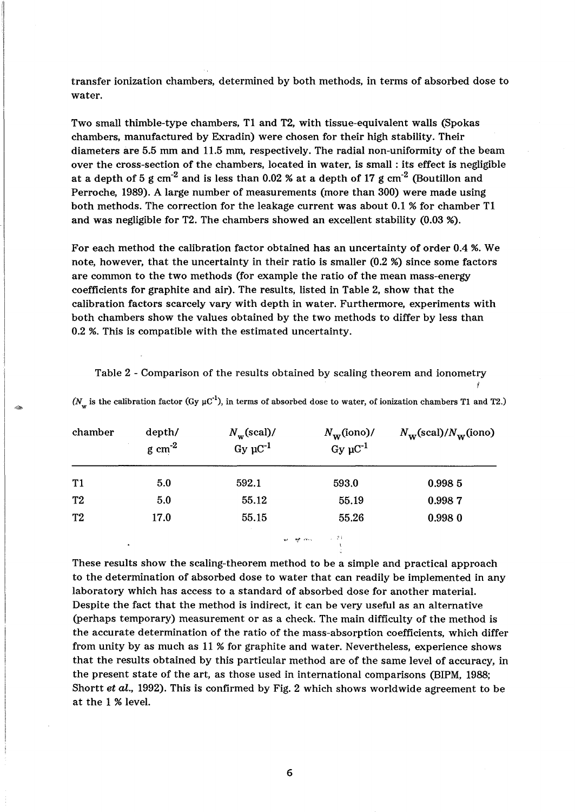transfer ionization chambers, determined by both methods, in terms of absorbed dose to water.

Two small thimble-type chambers, T1 and T2, with tissue-equivalent walls (Spokas chambers, manufactured by Exradin) were chosen for their high stability. Their diameters are 5.5 mm and 11.5 mm, respectively. The radial non-uniformity of the beam over the cross-section of the chambers, located in water, is small : its effect is negligible at a depth of 5 g cm<sup>-2</sup> and is less than 0.02 % at a depth of 17 g cm<sup>-2</sup> (Boutillon and Perroche, 1989). A large number of measurements (more than 300) were made using both methods. The correction for the leakage current was about 0.1 % for chamber T1 and was negligible for T2. The chambers showed an excellent stability (0.03 %).

For each method the calibration factor obtained has an uncertainty of order 0.4 %. We note, however, that the uncertainty in their ratio is smaller (0.2 %) since some factors are common to the two methods (for example the ratio of the mean mass-energy coefficients for graphite and air). The results, listed in Table 2, show that the calibration factors scarcely vary with depth in water. Furthermore, experiments with both chambers show the values obtained by the two methods to differ by less than 0.2 %. This is compatible with the estimated uncertainty.

Table 2 - Comparison of the results obtained by scaling theorem and ionometry *t* 

(N<sub>n</sub> is the calibration factor (Gy  $\mu$ C<sup>-1</sup>), in terms of absorbed dose to water, of ionization chambers T1 and T2.)

| chamber        | depth/<br>$g \text{ cm}^{-2}$ | $N_{\rm w}$ (scal)/<br>$Gy \mu C^{-1}$ | $N_{\rm w}$ (iono)/<br>$Gy \mu C^{-1}$ | $N_{\rm w}$ (scal)/ $N_{\rm w}$ (iono) |
|----------------|-------------------------------|----------------------------------------|----------------------------------------|----------------------------------------|
| $\mathbf{T1}$  | 5.0                           | 592.1                                  | 593.0                                  | 0.998 5                                |
| T <sub>2</sub> | 5.0                           | 55.12                                  | 55.19                                  | 0.9987                                 |
| T <sub>2</sub> | 17.0                          | 55.15                                  | 55.26                                  | 0.9980                                 |

~~ ",." ,-"., ;1;

These results show the scaling-theorem method to be a simple and practical approach to the determination of absorbed dose to water that can readily be implemented in any laboratory which has access to a standard of absorbed dose for another material. Despite the fact that the method is indirect, it can be very useful as an alternative (perhaps temporary) measurement or as a check. The main difficulty of the method is the accurate determination of the ratio of the mass-absorption coefficients, which differ from unity by as much as 11 % for graphite and water. Nevertheless, experience shows that the results obtained by this particular method are of the same level of accuracy, in the present state of the art, as those used in international comparisons (BIPM, 1988; Shortt *et al.,* 1992). This is confirmed by Fig. 2 which shows worldwide agreement to be at the 1 % level.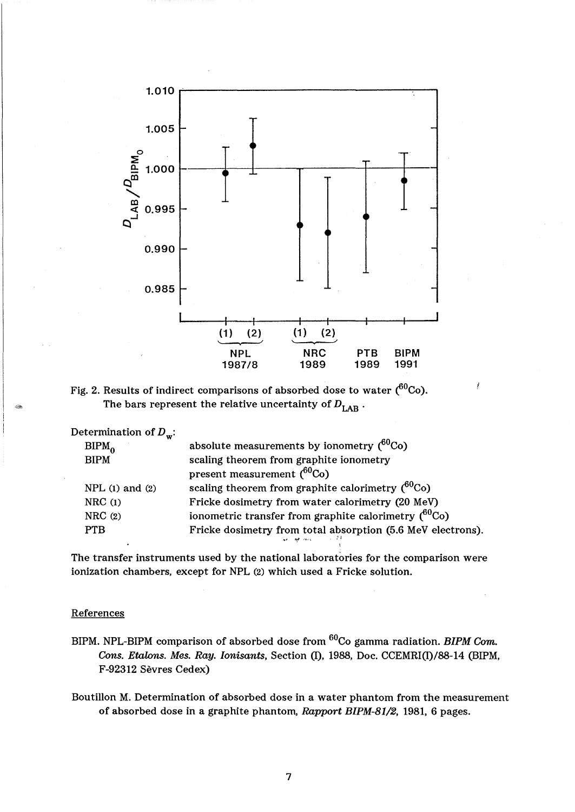

Fig. 2. Results of indirect comparisons of absorbed dose to water  $(^{60}Co)$ . The bars represent the relative uncertainty of  $D_{\text{LAR}}$ .

Determination of  $D_w$ :

| . .<br>$BIPM_{\Omega}$ | absolute measurements by ionometry $(^{60}Co)$                               |
|------------------------|------------------------------------------------------------------------------|
| <b>BIPM</b>            | scaling theorem from graphite ionometry                                      |
|                        | present measurement $(^{60}Co)$                                              |
| NPL $(1)$ and $(2)$    | scaling theorem from graphite calorimetry $(^{60}Co)$                        |
| NRC(1)                 | Fricke dosimetry from water calorimetry (20 MeV)                             |
| NRC(2)                 | ionometric transfer from graphite calorimetry $(^{60}Co)$                    |
| <b>PTB</b>             | Fricke dosimetry from total absorption (5.6 MeV electrons).<br>and the cross |

The transfer instruments used by the national laboratories for the comparison were ionization chambers, except for NPL (2) which used a Fricke solution.

# **References**

- BIPM. NPL-BIPM comparison of absorbed dose from <sup>60</sup>Co gamma radiation. *BIPM Com. Cons. Etalons. Mes. Ray. lonisants,* Section (I), 1988, Doe. CCEMRI(I)/88-14 (BIPM, F-92312 Sevres Cedex)
- Boutillon M. Determination of absorbed dose in a water phantom from the measurement of absorbed dose in a graphite phantom, *Rapport BIPM-81/2,* 1981, 6 pages.